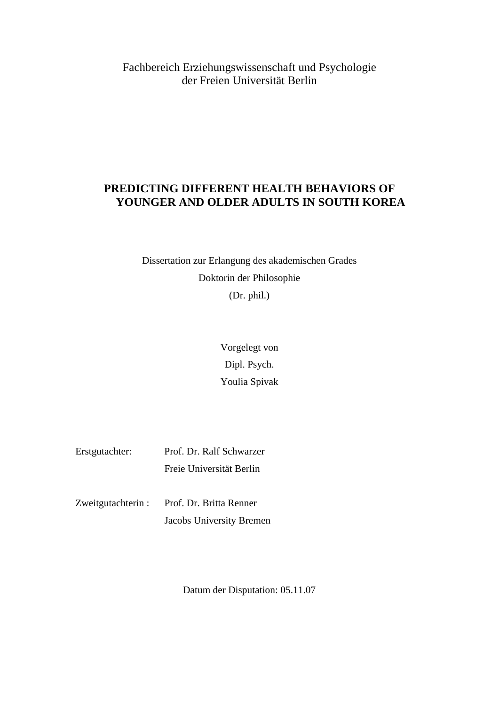Fachbereich Erziehungswissenschaft und Psychologie der Freien Universität Berlin

#### **PREDICTING DIFFERENT HEALTH BEHAVIORS OF YOUNGER AND OLDER ADULTS IN SOUTH KOREA**

Dissertation zur Erlangung des akademischen Grades Doktorin der Philosophie (Dr. phil.)

> Vorgelegt von Dipl. Psych. Youlia Spivak

| Erstgutachter: | Prof. Dr. Ralf Schwarzer |
|----------------|--------------------------|
|                | Freie Universität Berlin |

| Zweitgutachterin : | Prof. Dr. Britta Renner  |
|--------------------|--------------------------|
|                    | Jacobs University Bremen |

Datum der Disputation: 05.11.07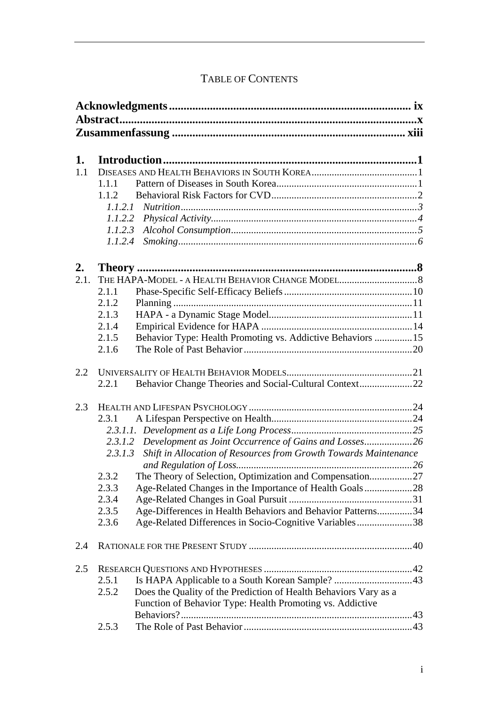## TABLE OF CONTENTS

| 1.   |                                                                             |  |  |
|------|-----------------------------------------------------------------------------|--|--|
|      |                                                                             |  |  |
| 1.1  |                                                                             |  |  |
|      | 1.1.1                                                                       |  |  |
|      | 1.1.2                                                                       |  |  |
|      |                                                                             |  |  |
|      |                                                                             |  |  |
|      |                                                                             |  |  |
|      | 1.1.2.4                                                                     |  |  |
| 2.   |                                                                             |  |  |
| 2.1. |                                                                             |  |  |
|      | 2.1.1                                                                       |  |  |
|      | 2.1.2                                                                       |  |  |
|      | 2.1.3                                                                       |  |  |
|      | 2.1.4                                                                       |  |  |
|      | Behavior Type: Health Promoting vs. Addictive Behaviors  15<br>2.1.5        |  |  |
|      | 2.1.6                                                                       |  |  |
|      |                                                                             |  |  |
| 2.2  |                                                                             |  |  |
|      | Behavior Change Theories and Social-Cultural Context22<br>2.2.1             |  |  |
| 2.3  |                                                                             |  |  |
|      | 2.3.1                                                                       |  |  |
|      |                                                                             |  |  |
|      | 2.3.1.2 Development as Joint Occurrence of Gains and Losses 26              |  |  |
|      | Shift in Allocation of Resources from Growth Towards Maintenance<br>2.3.1.3 |  |  |
|      |                                                                             |  |  |
|      | The Theory of Selection, Optimization and Compensation27<br>2.3.2           |  |  |
|      | 2.3.3<br>Age-Related Changes in the Importance of Health Goals28            |  |  |
|      | 2.3.4                                                                       |  |  |
|      | Age-Differences in Health Behaviors and Behavior Patterns34<br>2.3.5        |  |  |
|      | Age-Related Differences in Socio-Cognitive Variables38<br>2.3.6             |  |  |
| 2.4  |                                                                             |  |  |
| 2.5  |                                                                             |  |  |
|      | 2.5.1                                                                       |  |  |
|      | Does the Quality of the Prediction of Health Behaviors Vary as a<br>2.5.2   |  |  |
|      | Function of Behavior Type: Health Promoting vs. Addictive                   |  |  |
|      |                                                                             |  |  |
|      | 2.5.3                                                                       |  |  |
|      |                                                                             |  |  |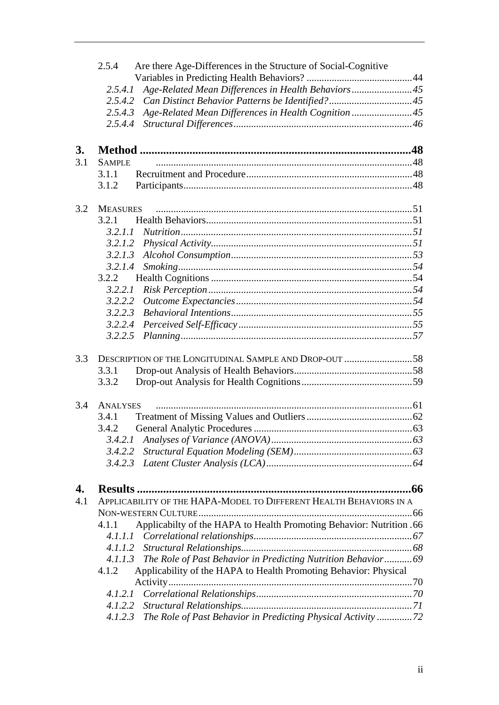|     | 2.5.4           | Are there Age-Differences in the Structure of Social-Cognitive        |  |
|-----|-----------------|-----------------------------------------------------------------------|--|
|     |                 |                                                                       |  |
|     | 2.5.4.1         | Age-Related Mean Differences in Health Behaviors 45                   |  |
|     | 2.5.4.2         |                                                                       |  |
|     | 2.5.4.3         | Age-Related Mean Differences in Health Cognition 45                   |  |
|     | 2.5.4.4         |                                                                       |  |
| 3.  |                 |                                                                       |  |
| 3.1 | <b>SAMPLE</b>   |                                                                       |  |
|     | 3.1.1           |                                                                       |  |
|     | 3.1.2           |                                                                       |  |
|     |                 |                                                                       |  |
| 3.2 | <b>MEASURES</b> |                                                                       |  |
|     | 3.2.1           |                                                                       |  |
|     | 3.2.1.1         |                                                                       |  |
|     |                 |                                                                       |  |
|     | 3.2.1.3         |                                                                       |  |
|     | 3.2.1.4         |                                                                       |  |
|     | 3.2.2           |                                                                       |  |
|     | 3.2.2.1         |                                                                       |  |
|     | 3.2.2.2         |                                                                       |  |
|     | 3.2.2.3         |                                                                       |  |
|     | 3.2.2.4         |                                                                       |  |
|     | 3.2.2.5         |                                                                       |  |
| 3.3 |                 | DESCRIPTION OF THE LONGITUDINAL SAMPLE AND DROP-OUT 58                |  |
|     | 3.3.1           |                                                                       |  |
|     | 3.3.2           |                                                                       |  |
| 3.4 | <b>ANALYSES</b> |                                                                       |  |
|     | 3.4.1           |                                                                       |  |
|     | 3.4.2           |                                                                       |  |
|     | 3.4.2.1         |                                                                       |  |
|     | 3.4.2.2         |                                                                       |  |
|     | 3.4.2.3         |                                                                       |  |
|     |                 |                                                                       |  |
| 4.  |                 |                                                                       |  |
| 4.1 |                 | APPLICABILITY OF THE HAPA-MODEL TO DIFFERENT HEALTH BEHAVIORS IN A    |  |
|     |                 |                                                                       |  |
|     | 4.1.1           | Applicabilty of the HAPA to Health Promoting Behavior: Nutrition .66  |  |
|     |                 |                                                                       |  |
|     | 4.1.1.2         |                                                                       |  |
|     |                 | 4.1.1.3 The Role of Past Behavior in Predicting Nutrition Behavior 69 |  |
|     | 4.1.2           | Applicability of the HAPA to Health Promoting Behavior: Physical      |  |
|     |                 |                                                                       |  |
|     | 4.1.2.1         |                                                                       |  |
|     |                 |                                                                       |  |
|     | 4.1.2.3         | The Role of Past Behavior in Predicting Physical Activity 72          |  |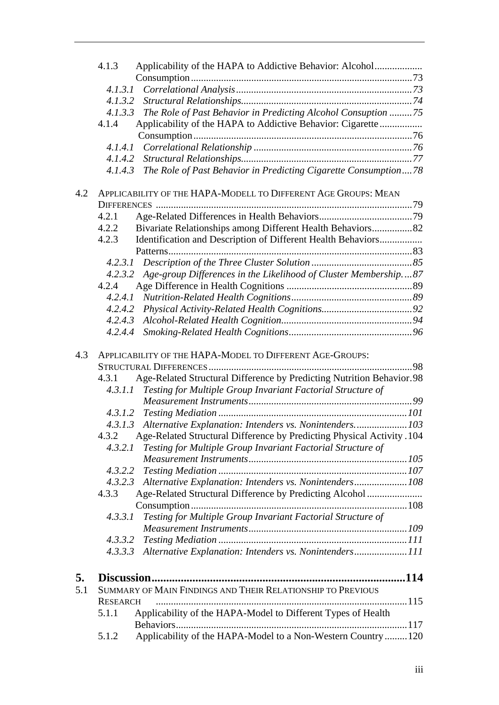|     | Applicability of the HAPA to Addictive Behavior: Alcohol<br>4.1.3               |     |
|-----|---------------------------------------------------------------------------------|-----|
|     |                                                                                 |     |
|     |                                                                                 |     |
|     | 4.1.3.2                                                                         |     |
|     | The Role of Past Behavior in Predicting Alcohol Consuption 75<br>4.1.3.3        |     |
|     | Applicability of the HAPA to Addictive Behavior: Cigarette<br>4.1.4             |     |
|     |                                                                                 |     |
|     | 4.1.4.1                                                                         |     |
|     |                                                                                 |     |
|     | The Role of Past Behavior in Predicting Cigarette Consumption78<br>4.1.4.3      |     |
| 4.2 | APPLICABILITY OF THE HAPA-MODELL TO DIFFERENT AGE GROUPS: MEAN                  |     |
|     |                                                                                 |     |
|     | 4.2.1                                                                           |     |
|     | Bivariate Relationships among Different Health Behaviors82<br>4.2.2             |     |
|     | 4.2.3<br>Identification and Description of Different Health Behaviors           |     |
|     |                                                                                 |     |
|     | 4.2.3.1                                                                         |     |
|     | Age-group Differences in the Likelihood of Cluster Membership87<br>4.2.3.2      |     |
|     | 4.2.4                                                                           |     |
|     | 4.2.4.1                                                                         |     |
|     |                                                                                 |     |
|     | 4.2.4.3                                                                         |     |
|     | 4.2.4.4                                                                         |     |
| 4.3 | APPLICABILITY OF THE HAPA-MODEL TO DIFFERENT AGE-GROUPS:                        |     |
|     |                                                                                 | .98 |
|     | Age-Related Structural Difference by Predicting Nutrition Behavior.98<br>4.3.1  |     |
|     | Testing for Multiple Group Invariant Factorial Structure of<br>4.3.1.1          |     |
|     |                                                                                 |     |
|     |                                                                                 |     |
|     | 4.3.1.3 Alternative Explanation: Intenders vs. Nonintenders103                  |     |
|     | Age-Related Structural Difference by Predicting Physical Activity .104<br>4.3.2 |     |
|     | Testing for Multiple Group Invariant Factorial Structure of<br>4.3.2.1          |     |
|     |                                                                                 |     |
|     |                                                                                 |     |
|     | 4.3.2.3 Alternative Explanation: Intenders vs. Nonintenders108                  |     |
|     | 4.3.3<br>Age-Related Structural Difference by Predicting Alcohol                |     |
|     |                                                                                 |     |
|     | Testing for Multiple Group Invariant Factorial Structure of<br>4.3.3.1          |     |
|     |                                                                                 |     |
|     |                                                                                 |     |
|     | 4.3.3.3 Alternative Explanation: Intenders vs. Nonintenders111                  |     |
|     |                                                                                 |     |
| 5.  |                                                                                 |     |
| 5.1 | SUMMARY OF MAIN FINDINGS AND THEIR RELATIONSHIP TO PREVIOUS                     |     |
|     | <b>RESEARCH</b>                                                                 |     |
|     | Applicability of the HAPA-Model to Different Types of Health<br>5.1.1           |     |
|     |                                                                                 |     |
|     | Applicability of the HAPA-Model to a Non-Western Country  120<br>5.1.2          |     |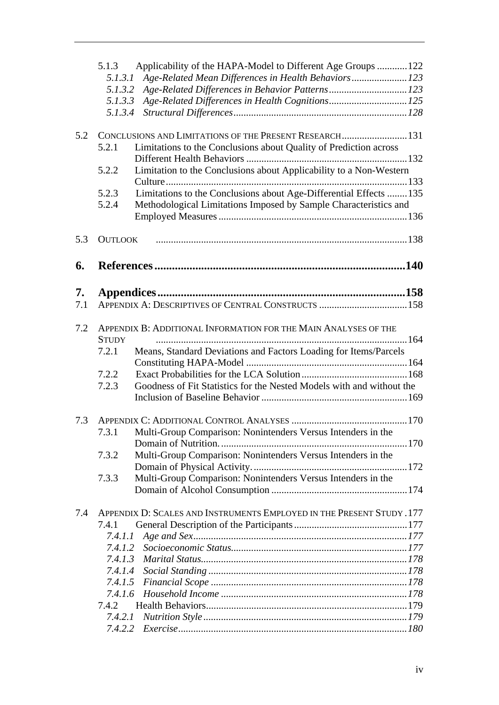|     | Applicability of the HAPA-Model to Different Age Groups 122<br>5.1.3           |  |
|-----|--------------------------------------------------------------------------------|--|
|     | Age-Related Mean Differences in Health Behaviors 123<br>5.1.3.1                |  |
|     | Age-Related Differences in Behavior Patterns123<br>5.1.3.2                     |  |
|     | 5.1.3.3                                                                        |  |
|     | 5.1.3.4                                                                        |  |
|     |                                                                                |  |
| 5.2 | CONCLUSIONS AND LIMITATIONS OF THE PRESENT RESEARCH 131                        |  |
|     | Limitations to the Conclusions about Quality of Prediction across<br>5.2.1     |  |
|     |                                                                                |  |
|     | Limitation to the Conclusions about Applicability to a Non-Western<br>5.2.2    |  |
|     |                                                                                |  |
|     | Limitations to the Conclusions about Age-Differential Effects  135<br>5.2.3    |  |
|     | 5.2.4<br>Methodological Limitations Imposed by Sample Characteristics and      |  |
|     |                                                                                |  |
| 5.3 | <b>OUTLOOK</b>                                                                 |  |
|     |                                                                                |  |
| 6.  |                                                                                |  |
|     |                                                                                |  |
| 7.  |                                                                                |  |
| 7.1 | APPENDIX A: DESCRIPTIVES OF CENTRAL CONSTRUCTS  158                            |  |
|     |                                                                                |  |
| 7.2 | APPENDIX B: ADDITIONAL INFORMATION FOR THE MAIN ANALYSES OF THE                |  |
|     | <b>STUDY</b>                                                                   |  |
|     | Means, Standard Deviations and Factors Loading for Items/Parcels<br>7.2.1      |  |
|     |                                                                                |  |
|     | 7.2.2                                                                          |  |
|     | Goodness of Fit Statistics for the Nested Models with and without the<br>7.2.3 |  |
|     |                                                                                |  |
|     |                                                                                |  |
| 7.3 |                                                                                |  |
|     | Multi-Group Comparison: Nonintenders Versus Intenders in the<br>7.3.1          |  |
|     |                                                                                |  |
|     | Multi-Group Comparison: Nonintenders Versus Intenders in the<br>7.3.2          |  |
|     |                                                                                |  |
|     | Multi-Group Comparison: Nonintenders Versus Intenders in the<br>7.3.3          |  |
|     |                                                                                |  |
| 7.4 | APPENDIX D: SCALES AND INSTRUMENTS EMPLOYED IN THE PRESENT STUDY .177          |  |
|     | 7.4.1                                                                          |  |
|     | 7.4.1.1                                                                        |  |
|     | 7.4.1.2                                                                        |  |
|     | 7.4.1.3                                                                        |  |
|     |                                                                                |  |
|     |                                                                                |  |
|     | 7.4.1.6                                                                        |  |
|     | 7.4.2                                                                          |  |
|     | 7.4.2.1                                                                        |  |
|     | 7.4.2.2                                                                        |  |
|     |                                                                                |  |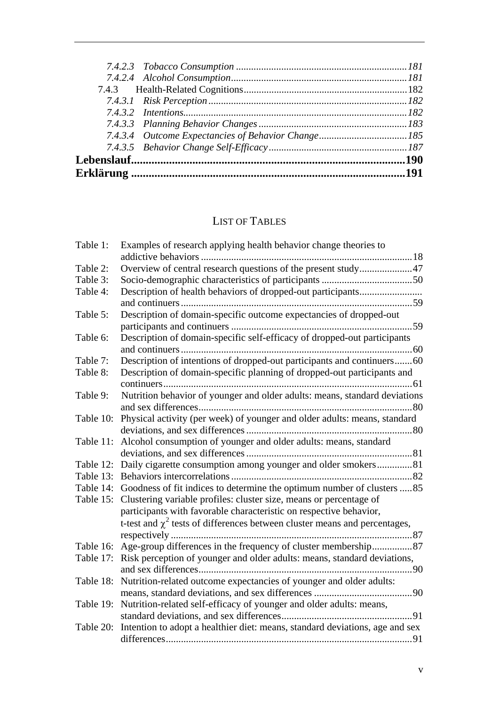# LIST OF TABLES

| Table 1:  | Examples of research applying health behavior change theories to                       |
|-----------|----------------------------------------------------------------------------------------|
|           |                                                                                        |
| Table 2:  | Overview of central research questions of the present study47                          |
| Table 3:  |                                                                                        |
| Table 4:  |                                                                                        |
|           |                                                                                        |
| Table 5:  | Description of domain-specific outcome expectancies of dropped-out                     |
|           |                                                                                        |
| Table 6:  | Description of domain-specific self-efficacy of dropped-out participants               |
|           |                                                                                        |
| Table 7:  | Description of intentions of dropped-out participants and continuers60                 |
| Table 8:  | Description of domain-specific planning of dropped-out participants and                |
|           |                                                                                        |
| Table 9:  | Nutrition behavior of younger and older adults: means, standard deviations             |
|           |                                                                                        |
| Table 10: | Physical activity (per week) of younger and older adults: means, standard              |
|           |                                                                                        |
| Table 11: | Alcohol consumption of younger and older adults: means, standard                       |
|           |                                                                                        |
|           | Table 12: Daily cigarette consumption among younger and older smokers81                |
| Table 13: |                                                                                        |
| Table 14: | Goodness of fit indices to determine the optimum number of clusters 85                 |
| Table 15: | Clustering variable profiles: cluster size, means or percentage of                     |
|           | participants with favorable characteristic on respective behavior,                     |
|           | t-test and $\chi^2$ tests of differences between cluster means and percentages,        |
|           |                                                                                        |
|           |                                                                                        |
| Table 17: | Risk perception of younger and older adults: means, standard deviations,               |
|           |                                                                                        |
| Table 18: | Nutrition-related outcome expectancies of younger and older adults:                    |
|           |                                                                                        |
| Table 19: | Nutrition-related self-efficacy of younger and older adults: means,                    |
|           |                                                                                        |
|           | Table 20: Intention to adopt a healthier diet: means, standard deviations, age and sex |
|           |                                                                                        |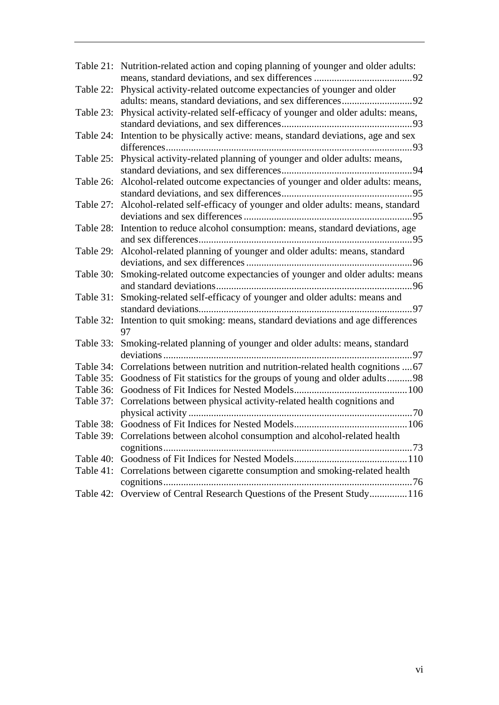|           | Table 21: Nutrition-related action and coping planning of younger and older adults:   |
|-----------|---------------------------------------------------------------------------------------|
| Table 22: | Physical activity-related outcome expectancies of younger and older                   |
|           | Table 23: Physical activity-related self-efficacy of younger and older adults: means, |
| Table 24: | Intention to be physically active: means, standard deviations, age and sex            |
| Table 25: | Physical activity-related planning of younger and older adults: means,                |
| Table 26: | Alcohol-related outcome expectancies of younger and older adults: means,              |
| Table 27: | Alcohol-related self-efficacy of younger and older adults: means, standard            |
|           | Table 28: Intention to reduce alcohol consumption: means, standard deviations, age    |
| Table 29: | Alcohol-related planning of younger and older adults: means, standard                 |
| Table 30: | Smoking-related outcome expectancies of younger and older adults: means               |
| Table 31: | Smoking-related self-efficacy of younger and older adults: means and                  |
| Table 32: | Intention to quit smoking: means, standard deviations and age differences<br>97       |
| Table 33: | Smoking-related planning of younger and older adults: means, standard                 |
| Table 34: | Correlations between nutrition and nutrition-related health cognitions  67            |
| Table 35: | Goodness of Fit statistics for the groups of young and older adults98                 |
| Table 36: |                                                                                       |
| Table 37: | Correlations between physical activity-related health cognitions and                  |
|           |                                                                                       |
|           | Table 39: Correlations between alcohol consumption and alcohol-related health         |
|           |                                                                                       |
| Table 41: | Correlations between cigarette consumption and smoking-related health                 |
|           | Table 42: Overview of Central Research Questions of the Present Study 116             |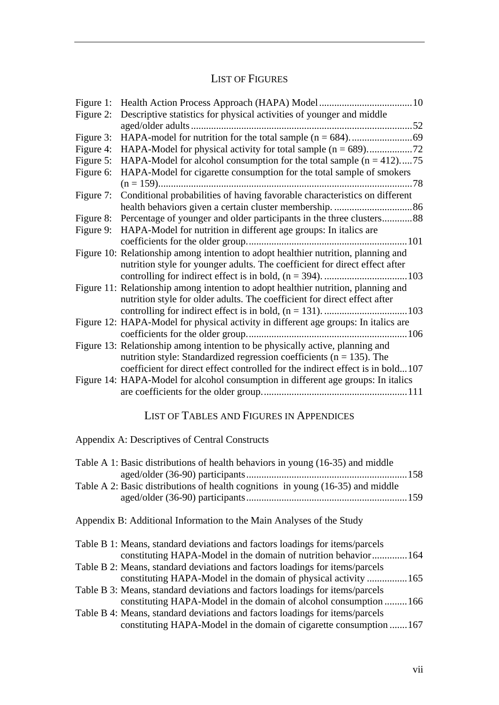### LIST OF FIGURES

| Figure 1: |                                                                                     |
|-----------|-------------------------------------------------------------------------------------|
| Figure 2: | Descriptive statistics for physical activities of younger and middle                |
|           |                                                                                     |
| Figure 3: |                                                                                     |
| Figure 4: |                                                                                     |
| Figure 5: | HAPA-Model for alcohol consumption for the total sample $(n = 412)$ 75              |
| Figure 6: | HAPA-Model for cigarette consumption for the total sample of smokers                |
|           |                                                                                     |
| Figure 7: | Conditional probabilities of having favorable characteristics on different          |
|           |                                                                                     |
| Figure 8: | Percentage of younger and older participants in the three clusters88                |
| Figure 9: | HAPA-Model for nutrition in different age groups: In italics are                    |
|           |                                                                                     |
|           | Figure 10: Relationship among intention to adopt healthier nutrition, planning and  |
|           | nutrition style for younger adults. The coefficient for direct effect after         |
|           |                                                                                     |
|           | Figure 11: Relationship among intention to adopt healthier nutrition, planning and  |
|           | nutrition style for older adults. The coefficient for direct effect after           |
|           |                                                                                     |
|           | Figure 12: HAPA-Model for physical activity in different age groups: In italics are |
|           |                                                                                     |
|           | Figure 13: Relationship among intention to be physically active, planning and       |
|           | nutrition style: Standardized regression coefficients ( $n = 135$ ). The            |
|           | coefficient for direct effect controlled for the indirect effect is in bold107      |
|           | Figure 14: HAPA-Model for alcohol consumption in different age groups: In italics   |
|           |                                                                                     |

### LIST OF TABLES AND FIGURES IN APPENDICES

Appendix A: Descriptives of Central Constructs

| Table A 1: Basic distributions of health behaviors in young (16-35) and middle  |  |
|---------------------------------------------------------------------------------|--|
|                                                                                 |  |
| Table A 2: Basic distributions of health cognitions in young (16-35) and middle |  |
|                                                                                 |  |
|                                                                                 |  |

Appendix B: Additional Information to the Main Analyses of the Study

| Table B 1: Means, standard deviations and factors loadings for items/parcels |  |
|------------------------------------------------------------------------------|--|
| constituting HAPA-Model in the domain of nutrition behavior164               |  |
| Table B 2: Means, standard deviations and factors loadings for items/parcels |  |
| constituting HAPA-Model in the domain of physical activity  165              |  |
| Table B 3: Means, standard deviations and factors loadings for items/parcels |  |
| constituting HAPA-Model in the domain of alcohol consumption 166             |  |
| Table B 4: Means, standard deviations and factors loadings for items/parcels |  |
| constituting HAPA-Model in the domain of cigarette consumption 167           |  |